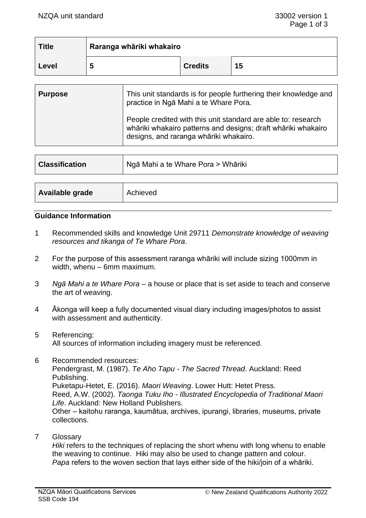| <b>Title</b> | Raranga whāriki whakairo |                |    |
|--------------|--------------------------|----------------|----|
| Level        |                          | <b>Credits</b> | 15 |

| <b>Purpose</b> | This unit standards is for people furthering their knowledge and<br>practice in Ngā Mahi a te Whare Pora.                                                                |
|----------------|--------------------------------------------------------------------------------------------------------------------------------------------------------------------------|
|                | People credited with this unit standard are able to: research<br>whāriki whakairo patterns and designs; draft whāriki whakairo<br>designs, and raranga whāriki whakairo. |

| <b>Classification</b> | Ngā Mahi a te Whare Pora > Whāriki |  |
|-----------------------|------------------------------------|--|
|                       |                                    |  |
| Available grade       | Achieved                           |  |

#### **Guidance Information**

- 1 Recommended skills and knowledge Unit 29711 *Demonstrate knowledge of weaving resources and tikanga of Te Whare Pora*.
- 2 For the purpose of this assessment raranga whāriki will include sizing 1000mm in width, whenu – 6mm maximum.
- 3 *Ngā Mahi a te Whare Pora* a house or place that is set aside to teach and conserve the art of weaving.
- 4 Ākonga will keep a fully documented visual diary including images/photos to assist with assessment and authenticity.
- 5 Referencing: All sources of information including imagery must be referenced.
- 6 Recommended resources: Pendergrast, M. (1987). *Te Aho Tapu - The Sacred Thread*. Auckland: Reed Publishing. Puketapu-Hetet, E. (2016). *Maori Weaving*. Lower Hutt: Hetet Press. Reed, A.W. (2002). *Taonga Tuku Iho - Illustrated Encyclopedia of Traditional Maori Life*. Auckland: New Holland Publishers. Other – kaitohu raranga, kaumātua, archives, ipurangi, libraries, museums, private collections.
- 7 Glossary

*Hiki* refers to the techniques of replacing the short whenu with long whenu to enable the weaving to continue. Hiki may also be used to change pattern and colour. *Papa* refers to the woven section that lays either side of the hiki/join of a whāriki.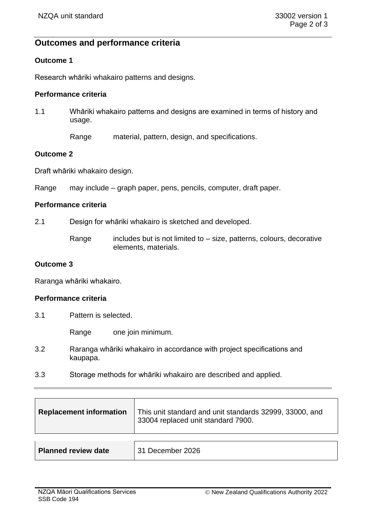# **Outcomes and performance criteria**

## **Outcome 1**

Research whāriki whakairo patterns and designs.

# **Performance criteria**

- 1.1 Whāriki whakairo patterns and designs are examined in terms of history and usage.
	- Range material, pattern, design, and specifications.

### **Outcome 2**

Draft whāriki whakairo design.

Range may include – graph paper, pens, pencils, computer, draft paper.

### **Performance criteria**

2.1 Design for whāriki whakairo is sketched and developed.

Range includes but is not limited to  $-$  size, patterns, colours, decorative elements, materials.

### **Outcome 3**

Raranga whāriki whakairo.

#### **Performance criteria**

3.1 Pattern is selected.

Range one join minimum.

- 3.2 Raranga whāriki whakairo in accordance with project specifications and kaupapa.
- 3.3 Storage methods for whāriki whakairo are described and applied.

| <b>Replacement information</b> | This unit standard and unit standards 32999, 33000, and<br>33004 replaced unit standard 7900. |
|--------------------------------|-----------------------------------------------------------------------------------------------|
|                                |                                                                                               |
| <b>Planned review date</b>     | 31 December 2026                                                                              |